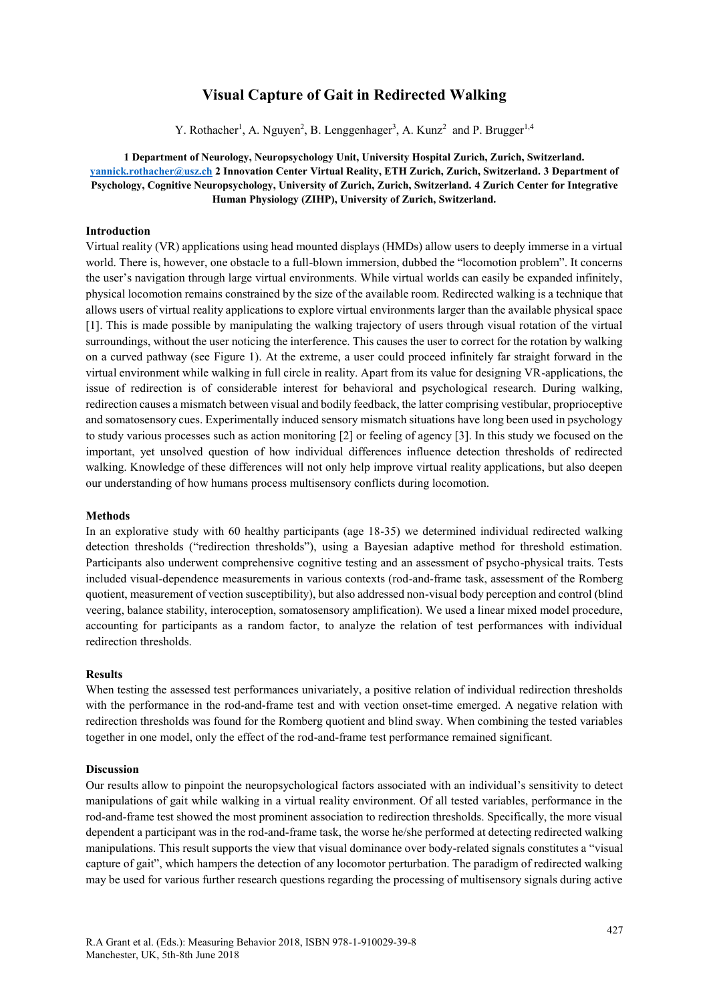# **Visual Capture of Gait in Redirected Walking**

Y. Rothacher<sup>1</sup>, A. Nguyen<sup>2</sup>, B. Lenggenhager<sup>3</sup>, A. Kunz<sup>2</sup> and P. Brugger<sup>1,4</sup>

**1 Department of Neurology, Neuropsychology Unit, University Hospital Zurich, Zurich, Switzerland. [yannick.rothacher@usz.ch](mailto:yannick.rothacher@usz.ch) 2 Innovation Center Virtual Reality, ETH Zurich, Zurich, Switzerland. 3 Department of Psychology, Cognitive Neuropsychology, University of Zurich, Zurich, Switzerland. 4 Zurich Center for Integrative Human Physiology (ZIHP), University of Zurich, Switzerland.**

## **Introduction**

Virtual reality (VR) applications using head mounted displays (HMDs) allow users to deeply immerse in a virtual world. There is, however, one obstacle to a full-blown immersion, dubbed the "locomotion problem". It concerns the user's navigation through large virtual environments. While virtual worlds can easily be expanded infinitely, physical locomotion remains constrained by the size of the available room. Redirected walking is a technique that allows users of virtual reality applications to explore virtual environments larger than the available physical space [1]. This is made possible by manipulating the walking trajectory of users through visual rotation of the virtual surroundings, without the user noticing the interference. This causes the user to correct for the rotation by walking on a curved pathway (see Figure 1). At the extreme, a user could proceed infinitely far straight forward in the virtual environment while walking in full circle in reality. Apart from its value for designing VR-applications, the issue of redirection is of considerable interest for behavioral and psychological research. During walking, redirection causes a mismatch between visual and bodily feedback, the latter comprising vestibular, proprioceptive and somatosensory cues. Experimentally induced sensory mismatch situations have long been used in psychology to study various processes such as action monitoring [2] or feeling of agency [3]. In this study we focused on the important, yet unsolved question of how individual differences influence detection thresholds of redirected walking. Knowledge of these differences will not only help improve virtual reality applications, but also deepen our understanding of how humans process multisensory conflicts during locomotion.

### **Methods**

In an explorative study with 60 healthy participants (age 18-35) we determined individual redirected walking detection thresholds ("redirection thresholds"), using a Bayesian adaptive method for threshold estimation. Participants also underwent comprehensive cognitive testing and an assessment of psycho-physical traits. Tests included visual-dependence measurements in various contexts (rod-and-frame task, assessment of the Romberg quotient, measurement of vection susceptibility), but also addressed non-visual body perception and control (blind veering, balance stability, interoception, somatosensory amplification). We used a linear mixed model procedure, accounting for participants as a random factor, to analyze the relation of test performances with individual redirection thresholds.

#### **Results**

When testing the assessed test performances univariately, a positive relation of individual redirection thresholds with the performance in the rod-and-frame test and with vection onset-time emerged. A negative relation with redirection thresholds was found for the Romberg quotient and blind sway. When combining the tested variables together in one model, only the effect of the rod-and-frame test performance remained significant.

#### **Discussion**

Our results allow to pinpoint the neuropsychological factors associated with an individual's sensitivity to detect manipulations of gait while walking in a virtual reality environment. Of all tested variables, performance in the rod-and-frame test showed the most prominent association to redirection thresholds. Specifically, the more visual dependent a participant was in the rod-and-frame task, the worse he/she performed at detecting redirected walking manipulations. This result supports the view that visual dominance over body-related signals constitutes a "visual capture of gait", which hampers the detection of any locomotor perturbation. The paradigm of redirected walking may be used for various further research questions regarding the processing of multisensory signals during active